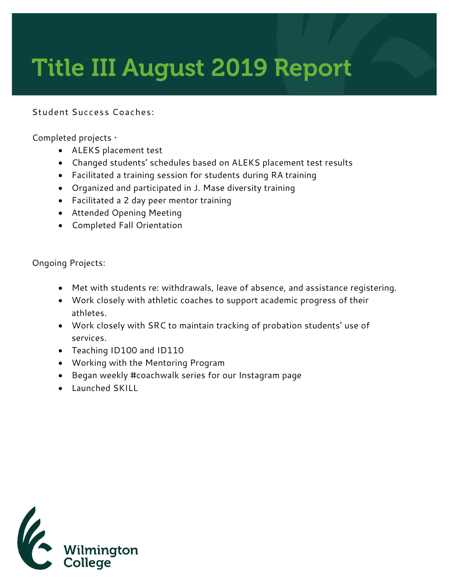## **Title III August 2019 Report**

## **Student Success Coaches:**

Completed projects •

- ALEKS placement test
- Changed students' schedules based on ALEKS placement test results
- Facilitated a training session for students during RA training
- Organized and participated in J. Mase diversity training
- Facilitated a 2 day peer mentor training
- Attended Opening Meeting
- Completed Fall Orientation

Ongoing Projects:

- Met with students re: withdrawals, leave of absence, and assistance registering.
- Work closely with athletic coaches to support academic progress of their athletes.
- Work closely with SRC to maintain tracking of probation students' use of services.
- Teaching ID100 and ID110
- Working with the Mentoring Program
- Began weekly #coachwalk series for our Instagram page
- Launched SKILL

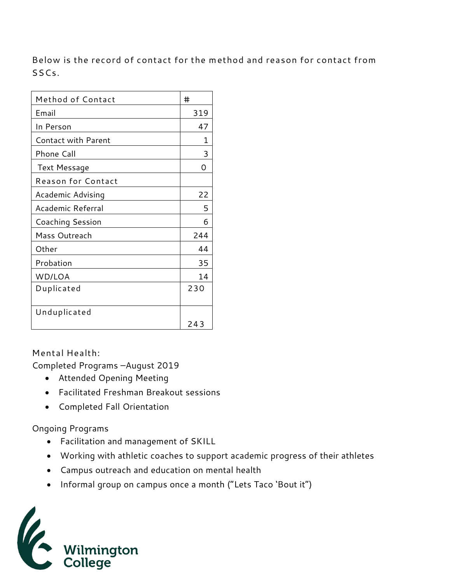**Below is the record of contact for the method and reason for contact from SSCs.** 

| Method of Contact          | #   |
|----------------------------|-----|
| Email                      | 319 |
| In Person                  | 47  |
| <b>Contact with Parent</b> | 1   |
| Phone Call                 | 3   |
| <b>Text Message</b>        | Ω   |
| Reason for Contact         |     |
| Academic Advising          | 22  |
| Academic Referral          | 5   |
| Coaching Session           | 6   |
| Mass Outreach              | 244 |
| Other                      | 44  |
| Probation                  | 35  |
| WD/LOA                     | 14  |
| Duplicated                 | 230 |
|                            |     |
| Unduplicated               | 243 |

**Mental Health:** 

Completed Programs –August 2019

- Attended Opening Meeting
- Facilitated Freshman Breakout sessions
- Completed Fall Orientation

## Ongoing Programs

- Facilitation and management of SKILL
- Working with athletic coaches to support academic progress of their athletes
- Campus outreach and education on mental health
- Informal group on campus once a month ("Lets Taco 'Bout it")